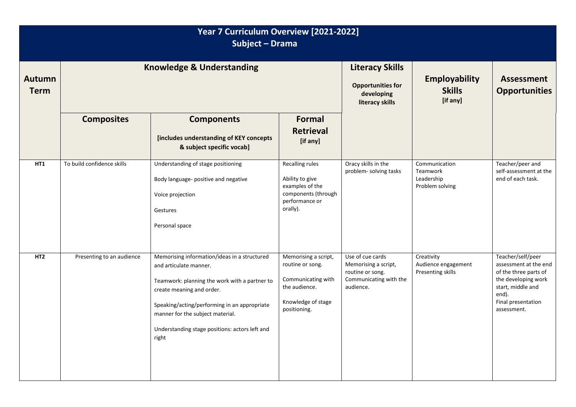| Year 7 Curriculum Overview [2021-2022]<br>Subject - Drama |                                      |                                                                                                                                                                                                                                                                                                     |                                                                                                                       |                                                                                                     |                                                            |                                                                                                                                                               |  |  |
|-----------------------------------------------------------|--------------------------------------|-----------------------------------------------------------------------------------------------------------------------------------------------------------------------------------------------------------------------------------------------------------------------------------------------------|-----------------------------------------------------------------------------------------------------------------------|-----------------------------------------------------------------------------------------------------|------------------------------------------------------------|---------------------------------------------------------------------------------------------------------------------------------------------------------------|--|--|
| <b>Autumn</b><br><b>Term</b>                              | <b>Knowledge &amp; Understanding</b> |                                                                                                                                                                                                                                                                                                     |                                                                                                                       | <b>Literacy Skills</b><br><b>Opportunities for</b><br>developing<br>literacy skills                 | <b>Employability</b><br><b>Skills</b><br>[if any]          | <b>Assessment</b><br><b>Opportunities</b>                                                                                                                     |  |  |
|                                                           | <b>Composites</b>                    | <b>Components</b><br>[includes understanding of KEY concepts<br>& subject specific vocab]                                                                                                                                                                                                           | <b>Formal</b><br><b>Retrieval</b><br>[if any]                                                                         |                                                                                                     |                                                            |                                                                                                                                                               |  |  |
| HT1                                                       | To build confidence skills           | Understanding of stage positioning<br>Body language- positive and negative<br>Voice projection<br>Gestures<br>Personal space                                                                                                                                                                        | Recalling rules<br>Ability to give<br>examples of the<br>components (through<br>performance or<br>orally).            | Oracy skills in the<br>problem- solving tasks                                                       | Communication<br>Teamwork<br>Leadership<br>Problem solving | Teacher/peer and<br>self-assessment at the<br>end of each task.                                                                                               |  |  |
| HT <sub>2</sub>                                           | Presenting to an audience            | Memorising information/ideas in a structured<br>and articulate manner.<br>Teamwork: planning the work with a partner to<br>create meaning and order.<br>Speaking/acting/performing in an appropriate<br>manner for the subject material.<br>Understanding stage positions: actors left and<br>right | Memorising a script,<br>routine or song.<br>Communicating with<br>the audience.<br>Knowledge of stage<br>positioning. | Use of cue cards<br>Memorising a script,<br>routine or song.<br>Communicating with the<br>audience. | Creativity<br>Audience engagement<br>Presenting skills     | Teacher/self/peer<br>assessment at the end<br>of the three parts of<br>the developing work<br>start, middle and<br>end).<br>Final presentation<br>assessment. |  |  |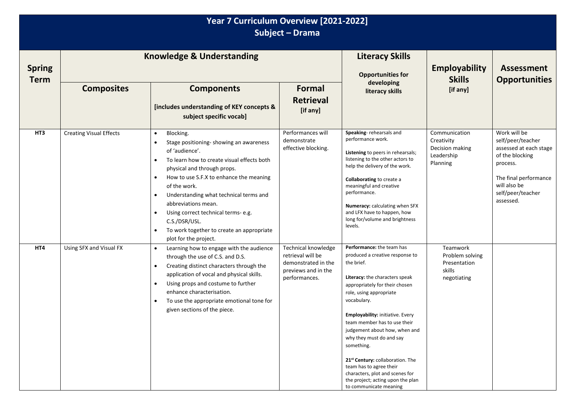| Year 7 Curriculum Overview [2021-2022]<br>Subject - Drama |                                      |                                                                                                                                                                                                                                                                                                                                                                                                                                                                                                          |                                                                                                         |                                                                                                                                                                                                                                                                                                                                                                                                                                                                                                          |                                                                          |                                                                                                                                                                       |  |  |
|-----------------------------------------------------------|--------------------------------------|----------------------------------------------------------------------------------------------------------------------------------------------------------------------------------------------------------------------------------------------------------------------------------------------------------------------------------------------------------------------------------------------------------------------------------------------------------------------------------------------------------|---------------------------------------------------------------------------------------------------------|----------------------------------------------------------------------------------------------------------------------------------------------------------------------------------------------------------------------------------------------------------------------------------------------------------------------------------------------------------------------------------------------------------------------------------------------------------------------------------------------------------|--------------------------------------------------------------------------|-----------------------------------------------------------------------------------------------------------------------------------------------------------------------|--|--|
| <b>Spring</b><br><b>Term</b>                              | <b>Knowledge &amp; Understanding</b> |                                                                                                                                                                                                                                                                                                                                                                                                                                                                                                          |                                                                                                         | <b>Literacy Skills</b><br><b>Opportunities for</b>                                                                                                                                                                                                                                                                                                                                                                                                                                                       | <b>Employability</b><br><b>Skills</b>                                    | <b>Assessment</b><br><b>Opportunities</b>                                                                                                                             |  |  |
|                                                           | <b>Composites</b>                    | <b>Components</b><br>[includes understanding of KEY concepts &<br>subject specific vocab]                                                                                                                                                                                                                                                                                                                                                                                                                | <b>Formal</b><br><b>Retrieval</b><br>[if any]                                                           | developing<br>literacy skills                                                                                                                                                                                                                                                                                                                                                                                                                                                                            | [if any]                                                                 |                                                                                                                                                                       |  |  |
| HT3                                                       | <b>Creating Visual Effects</b>       | Blocking.<br>$\bullet$<br>Stage positioning- showing an awareness<br>$\bullet$<br>of 'audience'.<br>To learn how to create visual effects both<br>$\bullet$<br>physical and through props.<br>How to use S.F.X to enhance the meaning<br>$\bullet$<br>of the work.<br>Understanding what technical terms and<br>$\bullet$<br>abbreviations mean.<br>Using correct technical terms- e.g.<br>$\bullet$<br>C.S./DSR/USL.<br>To work together to create an appropriate<br>$\bullet$<br>plot for the project. | Performances will<br>demonstrate<br>effective blocking.                                                 | Speaking-rehearsals and<br>performance work.<br>Listening to peers in rehearsals;<br>listening to the other actors to<br>help the delivery of the work.<br>Collaborating to create a<br>meaningful and creative<br>performance.<br>Numeracy: calculating when SFX<br>and LFX have to happen, how<br>long for/volume and brightness<br>levels.                                                                                                                                                            | Communication<br>Creativity<br>Decision making<br>Leadership<br>Planning | Work will be<br>self/peer/teacher<br>assessed at each stage<br>of the blocking<br>process.<br>The final performance<br>will also be<br>self/peer/teacher<br>assessed. |  |  |
| HT4                                                       | Using SFX and Visual FX              | Learning how to engage with the audience<br>$\bullet$<br>through the use of C.S. and D.S.<br>Creating distinct characters through the<br>$\bullet$<br>application of vocal and physical skills.<br>Using props and costume to further<br>$\bullet$<br>enhance characterisation.<br>To use the appropriate emotional tone for<br>$\bullet$<br>given sections of the piece.                                                                                                                                | Technical knowledge<br>retrieval will be<br>demonstrated in the<br>previews and in the<br>performances. | Performance: the team has<br>produced a creative response to<br>the brief.<br>Literacy: the characters speak<br>appropriately for their chosen<br>role, using appropriate<br>vocabulary.<br>Employability: initiative. Every<br>team member has to use their<br>judgement about how, when and<br>why they must do and say<br>something.<br>21st Century: collaboration. The<br>team has to agree their<br>characters, plot and scenes for<br>the project; acting upon the plan<br>to communicate meaning | Teamwork<br>Problem solving<br>Presentation<br>skills<br>negotiating     |                                                                                                                                                                       |  |  |